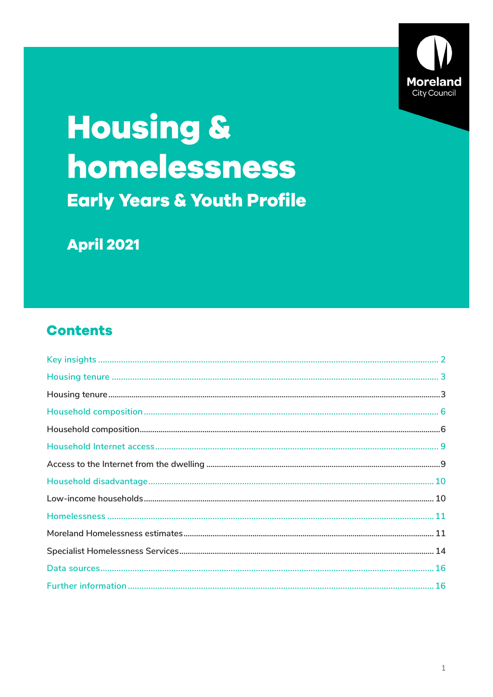

# **Housing &** homelessness **Early Years & Youth Profile**

**April 2021** 

### **Contents**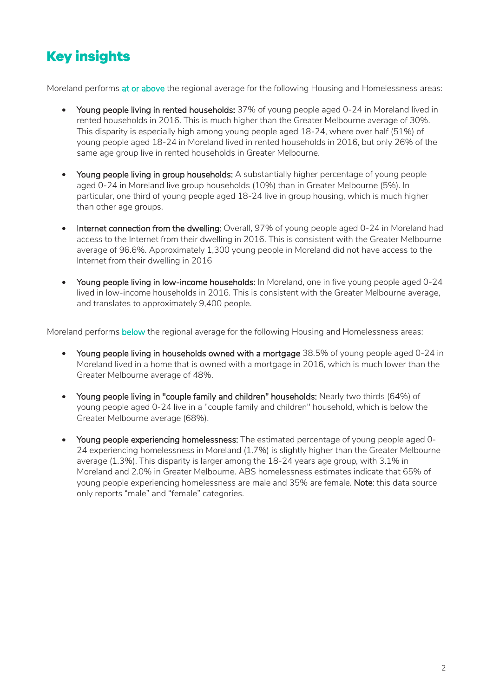# <span id="page-1-0"></span>**Key insights**

Moreland performs at or above the regional average for the following Housing and Homelessness areas:

- Young people living in rented households: 37% of young people aged 0-24 in Moreland lived in rented households in 2016. This is much higher than the Greater Melbourne average of 30%. This disparity is especially high among young people aged 18-24, where over half (51%) of young people aged 18-24 in Moreland lived in rented households in 2016, but only 26% of the same age group live in rented households in Greater Melbourne.
- Young people living in group households: A substantially higher percentage of young people aged 0-24 in Moreland live group households (10%) than in Greater Melbourne (5%). In particular, one third of young people aged 18-24 live in group housing, which is much higher than other age groups.
- Internet connection from the dwelling: Overall, 97% of young people aged 0-24 in Moreland had access to the Internet from their dwelling in 2016. This is consistent with the Greater Melbourne average of 96.6%. Approximately 1,300 young people in Moreland did not have access to the Internet from their dwelling in 2016
- Young people living in low-income households: In Moreland, one in five young people aged 0-24 lived in low-income households in 2016. This is consistent with the Greater Melbourne average, and translates to approximately 9,400 people.

Moreland performs below the regional average for the following Housing and Homelessness areas:

- Young people living in households owned with a mortgage 38.5% of young people aged 0-24 in Moreland lived in a home that is owned with a mortgage in 2016, which is much lower than the Greater Melbourne average of 48%.
- Young people living in "couple family and children" households: Nearly two thirds (64%) of young people aged 0-24 live in a "couple family and children" household, which is below the Greater Melbourne average (68%).
- Young people experiencing homelessness: The estimated percentage of young people aged 0- 24 experiencing homelessness in Moreland (1.7%) is slightly higher than the Greater Melbourne average (1.3%). This disparity is larger among the 18-24 years age group, with 3.1% in Moreland and 2.0% in Greater Melbourne. ABS homelessness estimates indicate that 65% of young people experiencing homelessness are male and 35% are female. Note: this data source only reports "male" and "female" categories.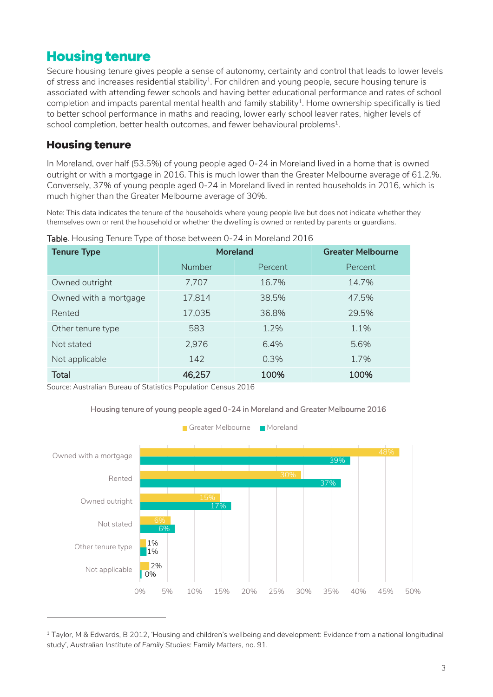### <span id="page-2-0"></span>**Housing tenure**

<span id="page-2-1"></span>Secure housing tenure gives people a sense of autonomy, certainty and control that leads to lower levels of stress and increases residential stability $^1$ . For children and young people, secure housing tenure is associated with attending fewer schools and having better educational performance and rates of school  $\,$  completion and impacts parental mental health and family stability $^1$ . Home ownership specifically is tied to better school performance in maths and reading, lower early school leaver rates, higher levels of school completion, better health outcomes, and fewer behavioural problems $^1$ .

### **Housing tenure**

-

In Moreland, over half (53.5%) of young people aged 0-24 in Moreland lived in a home that is owned outright or with a mortgage in 2016. This is much lower than the Greater Melbourne average of 61.2.%. Conversely, 37% of young people aged 0-24 in Moreland lived in rented households in 2016, which is much higher than the Greater Melbourne average of 30%.

Note: This data indicates the tenure of the households where young people live but does not indicate whether they themselves own or rent the household or whether the dwelling is owned or rented by parents or guardians.

| <b>Tenure Type</b>    | <b>Moreland</b> |         | <b>Greater Melbourne</b> |
|-----------------------|-----------------|---------|--------------------------|
|                       | <b>Number</b>   | Percent | Percent                  |
| Owned outright        | 7,707           | 16.7%   | 14.7%                    |
| Owned with a mortgage | 17,814          | 38.5%   | 47.5%                    |
| Rented                | 17,035          | 36.8%   | 29.5%                    |
| Other tenure type     | 583             | 1.2%    | 1.1%                     |
| Not stated            | 2,976           | 6.4%    | 5.6%                     |
| Not applicable        | 142             | 0.3%    | 1.7%                     |
| <b>Total</b>          | 46,257          | 100%    | 100%                     |

Table. Housing Tenure Type of those between 0-24 in Moreland 2016

Source: Australian Bureau of Statistics Population Census 2016





<sup>1</sup> Taylor, M & Edwards, B 2012, 'Housing and children's wellbeing and development: Evidence from a national longitudinal study', *Australian Institute of Family Studies: Family Matters*, no. 91.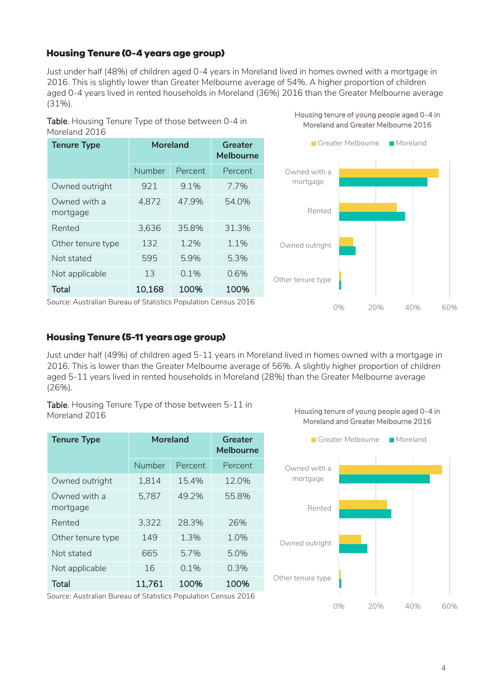### **Housing Tenure (0-4 years age group)**

Just under half (48%) of children aged 0-4 years in Moreland lived in homes owned with a mortgage in 2016. This is slightly lower than Greater Melbourne average of 54%. A higher proportion of children aged 0-4 years lived in rented households in Moreland (36%) 2016 than the Greater Melbourne average (31%).

|               | <b>Table</b> . Housing Tenure Type of those between 0-4 in |
|---------------|------------------------------------------------------------|
| Moreland 2016 |                                                            |

| <b>Tenure Type</b>       | Moreland |         | Greater<br><b>Melbourne</b> |  |
|--------------------------|----------|---------|-----------------------------|--|
|                          | Number   | Percent | Percent                     |  |
| Owned outright           | 921      | $9.1\%$ | 7.7%                        |  |
| Owned with a<br>mortgage | 4,872    | 47.9%   | 54.0%                       |  |
| Rented                   | 3,636    | 35.8%   | 31.3%                       |  |
| Other tenure type        | 132      | 1.2%    | $1.1\%$                     |  |
| Not stated               | 595      | 5.9%    | 5.3%                        |  |
| Not applicable           | 13       | 0.1%    | 0.6%                        |  |
| Total                    | 10,168   | 100%    | 100%                        |  |





Source: Australian Bureau of Statistics Population Census 2016

### **Housing Tenure (5-11 years age group)**

Just under half (49%) of children aged 5-11 years in Moreland lived in homes owned with a mortgage in 2016. This is lower than the Greater Melbourne average of 56%. A slightly higher proportion of children aged 5-11 years lived in rented households in Moreland (28%) than the Greater Melbourne average (26%).

Table. Housing Tenure Type of those between 5-11 in Moreland 2016

| <b>Tenure Type</b>       | <b>Moreland</b> |         | Greater<br><b>Melbourne</b> |
|--------------------------|-----------------|---------|-----------------------------|
|                          | Number          | Percent | Percent                     |
| Owned outright           | 1,814           | 15.4%   | 12.0%                       |
| Owned with a<br>mortgage | 5,787           | 49.2%   | 55.8%                       |
| Rented                   | 3,322           | 28.3%   | 26%                         |
| Other tenure type        | 149             | 1.3%    | 1.0%                        |
| Not stated               | 665             | 5.7%    | 5.0%                        |
| Not applicable           | 16              | $0.1\%$ | 0.3%                        |
| Total                    | 11.761          | 100%    | 100%                        |





Source: Australian Bureau of Statistics Population Census 2016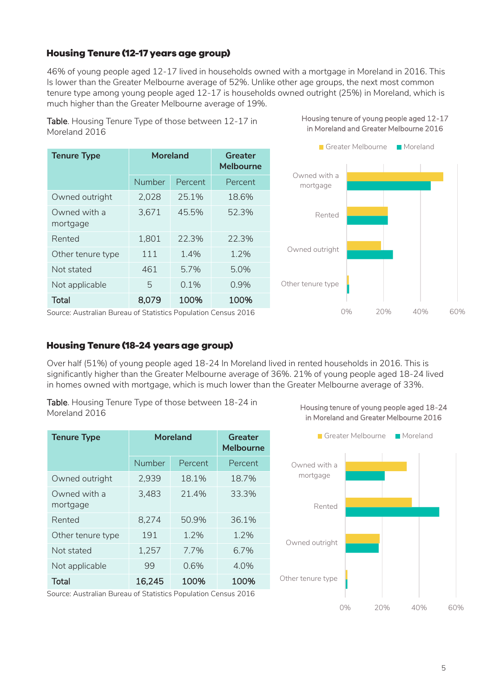### **Housing Tenure (12-17 years age group)**

46% of young people aged 12-17 lived in households owned with a mortgage in Moreland in 2016. This Is lower than the Greater Melbourne average of 52%. Unlike other age groups, the next most common tenure type among young people aged 12-17 is households owned outright (25%) in Moreland, which is much higher than the Greater Melbourne average of 19%.

Table. Housing Tenure Type of those between 12-17 in Moreland 2016

| <b>Tenure Type</b>       | <b>Moreland</b> |         | Greater<br><b>Melbourne</b> |  |
|--------------------------|-----------------|---------|-----------------------------|--|
|                          | Number          | Percent | Percent                     |  |
| Owned outright           | 2,028           | 25.1%   | 18.6%                       |  |
| Owned with a<br>mortgage | 3,671           | 45.5%   | 52.3%                       |  |
| Rented                   | 1,801           | 22.3%   | 22.3%                       |  |
| Other tenure type        | 111             | 1.4%    | 1.2%                        |  |
| Not stated               | 461             | 5.7%    | 5.0%                        |  |
| Not applicable           | 5               | 0.1%    | 0.9%                        |  |
| Total                    | 8,079           | 100%    | 100%                        |  |





Source: Australian Bureau of Statistics Population Census 2016

#### **Housing Tenure (18-24 years age group)**

Over half (51%) of young people aged 18-24 In Moreland lived in rented households in 2016. This is significantly higher than the Greater Melbourne average of 36%. 21% of young people aged 18-24 lived in homes owned with mortgage, which is much lower than the Greater Melbourne average of 33%.

Table. Housing Tenure Type of those between 18-24 in Moreland 2016

| <b>Tenure Type</b>                                             | <b>Moreland</b> |         | Greater<br><b>Melbourne</b> |  |
|----------------------------------------------------------------|-----------------|---------|-----------------------------|--|
|                                                                | Number          | Percent | Percent                     |  |
| Owned outright                                                 | 2,939           | 18.1%   | 18.7%                       |  |
| Owned with a<br>mortgage                                       | 3,483           | 21.4%   | 33.3%                       |  |
| Rented                                                         | 8,274           | 50.9%   | 36.1%                       |  |
| Other tenure type                                              | 191             | 1.2%    | 1.2%                        |  |
| Not stated                                                     | 1,257           | 7.7%    | 6.7%                        |  |
| Not applicable                                                 | 99              | 0.6%    | 4.0%                        |  |
| <b>Total</b>                                                   | 16,245          | 100%    | 100%                        |  |
| Source: Australian Bureau of Statistics Population Census 2016 |                 |         |                             |  |



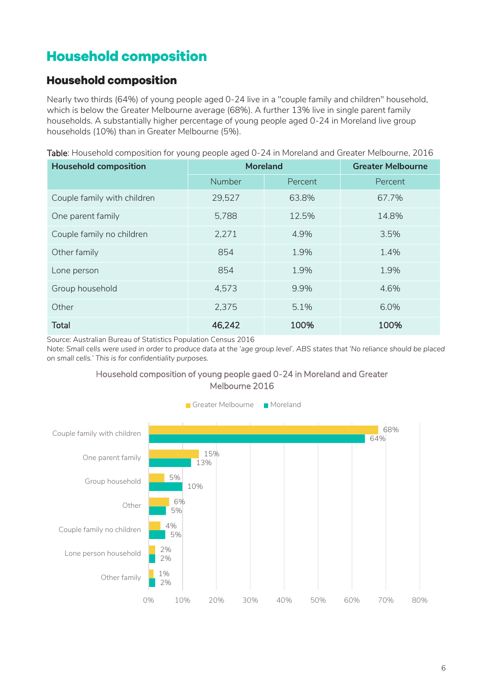## <span id="page-5-0"></span>**Household composition**

### <span id="page-5-1"></span>**Household composition**

Nearly two thirds (64%) of young people aged 0-24 live in a "couple family and children" household, which is below the Greater Melbourne average (68%). A further 13% live in single parent family households. A substantially higher percentage of young people aged 0-24 in Moreland live group households (10%) than in Greater Melbourne (5%).

Table: Household composition for young people aged 0-24 in Moreland and Greater Melbourne, 2016

| <b>Household composition</b> | <b>Moreland</b> |         | <b>Greater Melbourne</b> |
|------------------------------|-----------------|---------|--------------------------|
|                              | <b>Number</b>   | Percent | Percent                  |
| Couple family with children  | 29,527          | 63.8%   | 67.7%                    |
| One parent family            | 5,788           | 12.5%   | 14.8%                    |
| Couple family no children    | 2,271           | 4.9%    | 3.5%                     |
| Other family                 | 854             | 1.9%    | 1.4%                     |
| Lone person                  | 854             | 1.9%    | 1.9%                     |
| Group household              | 4,573           | 9.9%    | 4.6%                     |
| Other                        | 2,375           | 5.1%    | 6.0%                     |
| <b>Total</b>                 | 46,242          | 100%    | 100%                     |

Source: Australian Bureau of Statistics Population Census 2016

Note: *Small cells were used in order to produce data at the 'age group level'. ABS states that 'No reliance should be placed on small cells.' This is for confidentiality purposes.* 

#### Household composition of young people gaed 0-24 in Moreland and Greater Melbourne 2016

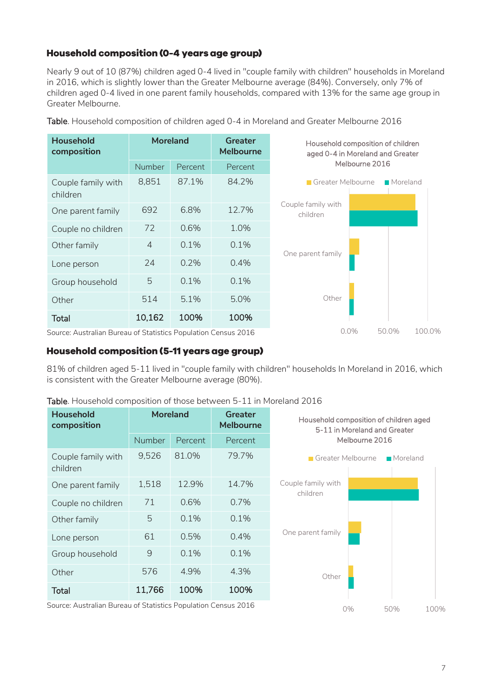### Household composition (0-4 years age group)

Nearly 9 out of 10 (87%) children aged 0-4 lived in "couple family with children" households in Moreland in 2016, which is slightly lower than the Greater Melbourne average (84%). Conversely, only 7% of children aged 0-4 lived in one parent family households, compared with 13% for the same age group in Greater Melbourne.

| <b>Household</b><br>composition                                | <b>Moreland</b> |         | Greater<br><b>Melbourne</b> | Household composition of children<br>aged 0-4 in Moreland and Greater |
|----------------------------------------------------------------|-----------------|---------|-----------------------------|-----------------------------------------------------------------------|
|                                                                | Number          | Percent | Percent                     | Melbourne 2016                                                        |
| Couple family with<br>children                                 | 8,851           | 87.1%   | 84.2%                       | Greater Melbourne<br>Moreland                                         |
| One parent family                                              | 692             | 6.8%    | 12.7%                       | Couple family with<br>children                                        |
| Couple no children                                             | 72              | 0.6%    | 1.0%                        |                                                                       |
| Other family                                                   | $\overline{4}$  | 0.1%    | 0.1%                        | One parent family                                                     |
| Lone person                                                    | 24              | 0.2%    | 0.4%                        |                                                                       |
| Group household                                                | 5               | 0.1%    | 0.1%                        |                                                                       |
| Other                                                          | 514             | 5.1%    | 5.0%                        | Other                                                                 |
| Total                                                          | 10,162          | 100%    | 100%                        |                                                                       |
| Source: Australian Bureau of Statistics Population Census 2016 |                 |         |                             | 0.0%<br>100.0%<br>50.0%                                               |

Table. Household composition of children aged 0-4 in Moreland and Greater Melbourne 2016

Source: Australian Bureau of Statistics Population Census 2016

#### Household composition (5-11 years age group)

81% of children aged 5-11 lived in "couple family with children" households In Moreland in 2016, which is consistent with the Greater Melbourne average (80%).

| <b>Household</b><br>composition | <b>Moreland</b> |         | Greater<br><b>Melbourne</b> | Household composition of children aged<br>5-11 in Moreland and Greater |  |
|---------------------------------|-----------------|---------|-----------------------------|------------------------------------------------------------------------|--|
|                                 | <b>Number</b>   | Percent | Percent                     | Melbourne 2016                                                         |  |
| Couple family with<br>children  | 9,526           | 81.0%   | 79.7%                       | Greater Melbourne<br>Moreland                                          |  |
| One parent family               | 1,518           | 12.9%   | 14.7%                       | Couple family with<br>children                                         |  |
| Couple no children              | 71              | 0.6%    | 0.7%                        |                                                                        |  |
| Other family                    | 5               | 0.1%    | 0.1%                        |                                                                        |  |
| Lone person                     | 61              | 0.5%    | 0.4%                        | One parent family                                                      |  |
| Group household                 | $\overline{9}$  | 0.1%    | 0.1%                        |                                                                        |  |
| Other                           | 576             | 4.9%    | 4.3%                        | Other                                                                  |  |
| <b>Total</b>                    | 11,766          | 100%    | 100%                        |                                                                        |  |

Table. Household composition of those between 5-11 in Moreland 2016

Source: Australian Bureau of Statistics Population Census 2016

0% 50% 100%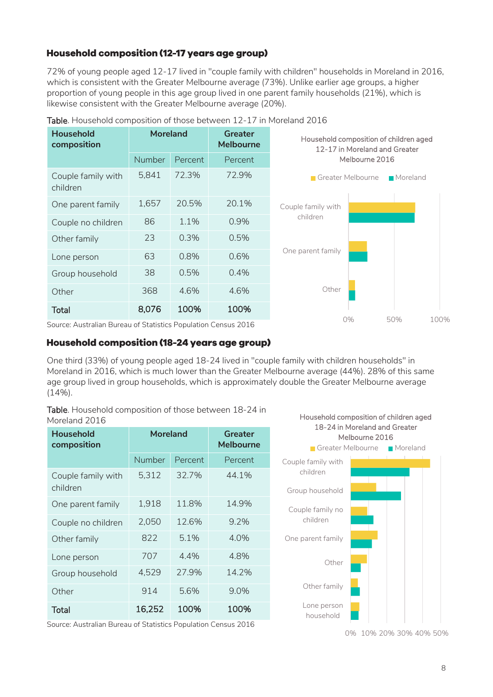### Household composition (12-17 years age group)

72% of young people aged 12-17 lived in "couple family with children" households in Moreland in 2016, which is consistent with the Greater Melbourne average (73%). Unlike earlier age groups, a higher proportion of young people in this age group lived in one parent family households (21%), which is likewise consistent with the Greater Melbourne average (20%).

| <b>Household</b><br>composition                                | <b>Moreland</b><br><b>Number</b><br>Percent |       | Greater<br><b>Melbourne</b> | Household composition of children aged<br>12-17 in Moreland and Greater |  |
|----------------------------------------------------------------|---------------------------------------------|-------|-----------------------------|-------------------------------------------------------------------------|--|
|                                                                |                                             |       | Percent                     | Melbourne 2016                                                          |  |
| Couple family with<br>children                                 | 5,841                                       | 72.3% | 72.9%                       | Greater Melbourne<br>Moreland                                           |  |
| One parent family                                              | 1,657                                       | 20.5% | 20.1%                       | Couple family with                                                      |  |
| Couple no children                                             | 86                                          | 1.1%  | 0.9%                        | children                                                                |  |
| Other family                                                   | 23                                          | 0.3%  | 0.5%                        |                                                                         |  |
| Lone person                                                    | 63                                          | 0.8%  | 0.6%                        | One parent family                                                       |  |
| Group household                                                | 38                                          | 0.5%  | 0.4%                        |                                                                         |  |
| Other                                                          | 368                                         | 4.6%  | 4.6%                        | Other                                                                   |  |
| Total                                                          | 8,076                                       | 100%  | 100%                        |                                                                         |  |
| Course: Australian Pursou of Ctatistics Depulation Capeus 2016 |                                             |       |                             | 0%<br>50%<br>100%                                                       |  |

Table. Household composition of those between 12-17 in Moreland 2016

Source: Australian Bureau of Statistics Population Census 2016

### Household composition (18-24 years age group)

One third (33%) of young people aged 18-24 lived in "couple family with children households" in Moreland in 2016, which is much lower than the Greater Melbourne average (44%). 28% of this same age group lived in group households, which is approximately double the Greater Melbourne average (14%).

Table. Household composition of those between 18-24 in Moreland 2016

| <b>Household</b><br>composition | <b>Moreland</b> |         | Greater<br><b>Melbourne</b> |  |
|---------------------------------|-----------------|---------|-----------------------------|--|
|                                 | Number          | Percent | Percent                     |  |
| Couple family with<br>children  | 5,312           | 32.7%   | 44.1%                       |  |
| One parent family               | 1,918           | 11.8%   | 14.9%                       |  |
| Couple no children              | 2,050           | 12.6%   | $9.2\%$                     |  |
| Other family                    | 822             | 5.1%    | 4.0%                        |  |
| Lone person                     | 707             | 4.4%    | 4.8%                        |  |
| Group household                 | 4,529           | 27.9%   | 14.2%                       |  |
| Other                           | 914             | 5.6%    | 9.0%                        |  |
| Total                           | 16,252          | 100%    | 100%                        |  |



Lone person household

Other family

Other

0% 10% 20% 30% 40% 50%

Source: Australian Bureau of Statistics Population Census 2016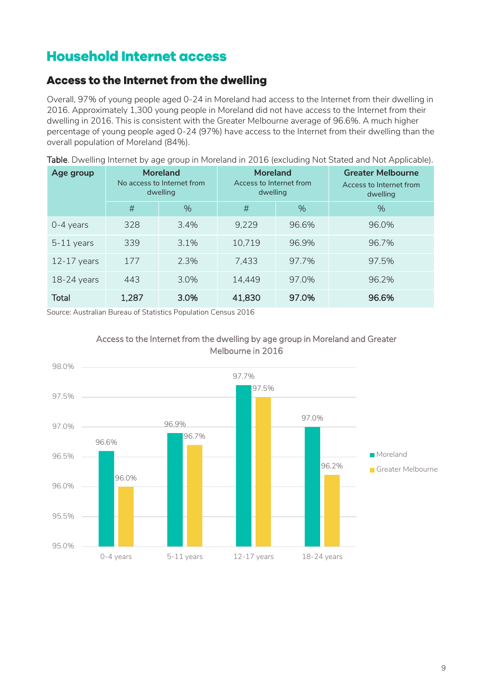### <span id="page-8-0"></span>**Household Internet access**

### <span id="page-8-1"></span>Access to the Internet from the dwelling

Overall, 97% of young people aged 0-24 in Moreland had access to the Internet from their dwelling in 2016. Approximately 1,300 young people in Moreland did not have access to the Internet from their dwelling in 2016. This is consistent with the Greater Melbourne average of 96.6%. A much higher percentage of young people aged 0-24 (97%) have access to the Internet from their dwelling than the overall population of Moreland (84%).

| <b>Table</b> . Diversing interface by age group in morelations and core fexeraling inoclotated and inocrippineable). |       |                                                           |        |                                                                                                                           |       |  |  |
|----------------------------------------------------------------------------------------------------------------------|-------|-----------------------------------------------------------|--------|---------------------------------------------------------------------------------------------------------------------------|-------|--|--|
| Age group                                                                                                            |       | <b>Moreland</b><br>No access to Internet from<br>dwelling |        | <b>Greater Melbourne</b><br><b>Moreland</b><br>Access to Internet from<br>Access to Internet from<br>dwelling<br>dwelling |       |  |  |
|                                                                                                                      | #     | $\%$                                                      | #      | $\%$                                                                                                                      | $\%$  |  |  |
| $0-4$ years                                                                                                          | 328   | 3.4%                                                      | 9,229  | 96.6%                                                                                                                     | 96.0% |  |  |
| $5-11$ years                                                                                                         | 339   | 3.1%                                                      | 10,719 | 96.9%                                                                                                                     | 96.7% |  |  |
| $12-17$ years                                                                                                        | 177   | 2.3%                                                      | 7,433  | 97.7%                                                                                                                     | 97.5% |  |  |
| $18-24$ years                                                                                                        | 443   | 3.0%                                                      | 14,449 | 97.0%                                                                                                                     | 96.2% |  |  |
| <b>Total</b>                                                                                                         | 1,287 | 3.0%                                                      | 41,830 | 97.0%                                                                                                                     | 96.6% |  |  |

Table. Dwelling Internet by age group in Moreland in 2016 (excluding Not Stated and Not Applicable).

Source: Australian Bureau of Statistics Population Census 2016

<span id="page-8-2"></span>

### Access to the Internet from the dwelling by age group in Moreland and Greater Melbourne in 2016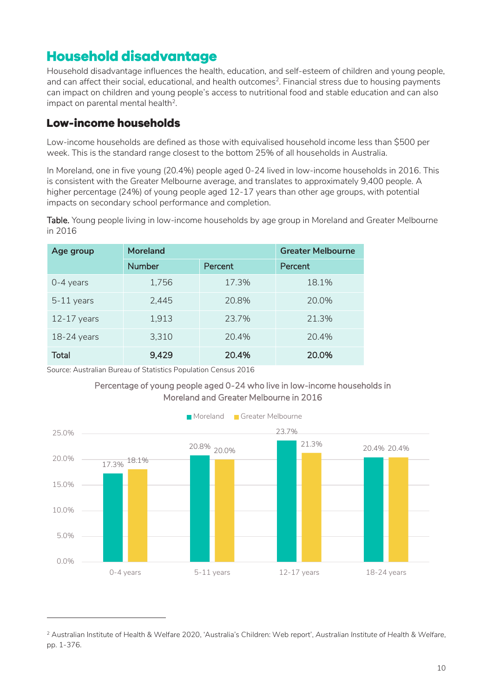### **Household disadvantage**

<span id="page-9-0"></span>Household disadvantage influences the health, education, and self-esteem of children and young people, and can affect their social, educational, and health outcomes<sup>2</sup>. Financial stress due to housing payments can impact on children and young people's access to nutritional food and stable education and can also  $\mathsf{impact}$  on parental mental health $^2$ .

### **Low-income households**

Low-income households are defined as those with equivalised household income less than \$500 per week. This is the standard range closest to the bottom 25% of all households in Australia.

In Moreland, one in five young (20.4%) people aged 0-24 lived in low-income households in 2016. This is consistent with the Greater Melbourne average, and translates to approximately 9,400 people. A higher percentage (24%) of young people aged 12-17 years than other age groups, with potential impacts on secondary school performance and completion.

Table. Young people living in low-income households by age group in Moreland and Greater Melbourne in 2016

| Age group     | <b>Moreland</b>          |       | <b>Greater Melbourne</b> |  |
|---------------|--------------------------|-------|--------------------------|--|
|               | <b>Number</b><br>Percent |       | Percent                  |  |
| $0-4$ years   | 1,756                    | 17.3% | 18.1%                    |  |
| $5-11$ years  | 2,445                    | 20.8% | 20.0%                    |  |
| $12-17$ years | 1,913                    | 23.7% | 21.3%                    |  |
| $18-24$ years | 3,310                    | 20.4% | 20.4%                    |  |
| Total         | 9,429                    | 20.4% | 20.0%                    |  |

Source: Australian Bureau of Statistics Population Census 2016

-





<sup>2</sup> Australian Institute of Health & Welfare 2020, 'Australia's Children: Web report', *Australian Institute of Health & Welfare*, pp. 1-376.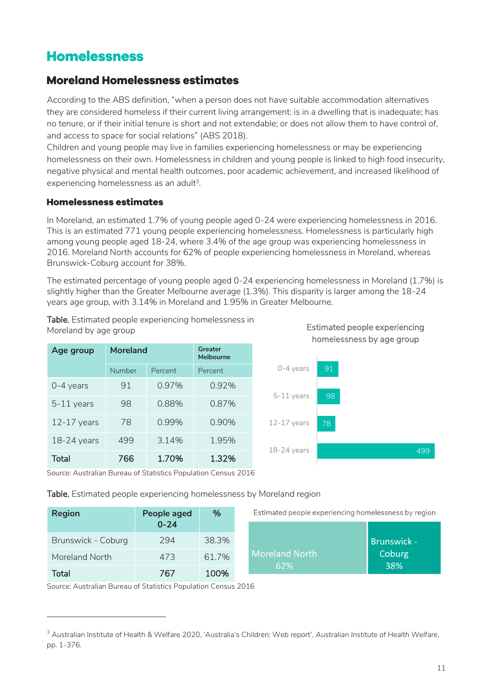### <span id="page-10-0"></span>**Homelessness**

### <span id="page-10-1"></span>**Moreland Homelessness estimates**

According to the ABS definition, "when a person does not have suitable accommodation alternatives they are considered homeless if their current living arrangement: is in a dwelling that is inadequate; has no tenure, or if their initial tenure is short and not extendable; or does not allow them to have control of, and access to space for social relations" (ABS 2018).

Children and young people may live in families experiencing homelessness or may be experiencing homelessness on their own. Homelessness in children and young people is linked to high food insecurity, negative physical and mental health outcomes, poor academic achievement, and increased likelihood of  $experi$ encing homelessness as an adult $3$ .

#### **Homelessness estimates**

In Moreland, an estimated 1.7% of young people aged 0-24 were experiencing homelessness in 2016. This is an estimated 771 young people experiencing homelessness. Homelessness is particularly high among young people aged 18-24, where 3.4% of the age group was experiencing homelessness in 2016. Moreland North accounts for 62% of people experiencing homelessness in Moreland, whereas Brunswick-Coburg account for 38%.

The estimated percentage of young people aged 0-24 experiencing homelessness in Moreland (1.7%) is slightly higher than the Greater Melbourne average (1.3%). This disparity is larger among the 18-24 years age group, with 3.14% in Moreland and 1.95% in Greater Melbourne.

Table. Estimated people experiencing homelessness in Moreland by age group

| Age group     | <b>Moreland</b> |         | Greater<br><b>Melbourne</b> |  |
|---------------|-----------------|---------|-----------------------------|--|
|               | Number          | Percent | Percent                     |  |
| $0-4$ years   | 91              | 0.97%   | 0.92%                       |  |
| $5-11$ years  | 98              | 0.88%   | 0.87%                       |  |
| $12-17$ years | 78              | 0.99%   | 0.90%                       |  |
| $18-24$ years | 499             | 3.14%   | 1.95%                       |  |
| Total         | 766             | 1.70%   | 1.32%                       |  |





Source: Australian Bureau of Statistics Population Census 2016

Table. Estimated people experiencing homelessness by Moreland region

| <b>Region</b>      | People aged | %     | Estimated people experiencing homelessness by region |                    |  |  |
|--------------------|-------------|-------|------------------------------------------------------|--------------------|--|--|
|                    | $0 - 24$    |       |                                                      |                    |  |  |
| Brunswick - Coburg | 294         | 38.3% |                                                      | <b>Brunswick -</b> |  |  |
| Moreland North     | 473         | 61.7% | <b>Moreland North</b><br>62%                         | Coburg<br>38%      |  |  |
| <b>Total</b>       | 767         | 100%  |                                                      |                    |  |  |

Source: Australian Bureau of Statistics Population Census 2016

-

<sup>3</sup> Australian Institute of Health & Welfare 2020, 'Australia's Children: Web report', *Australian Institute of Health Welfare*, pp. 1-376.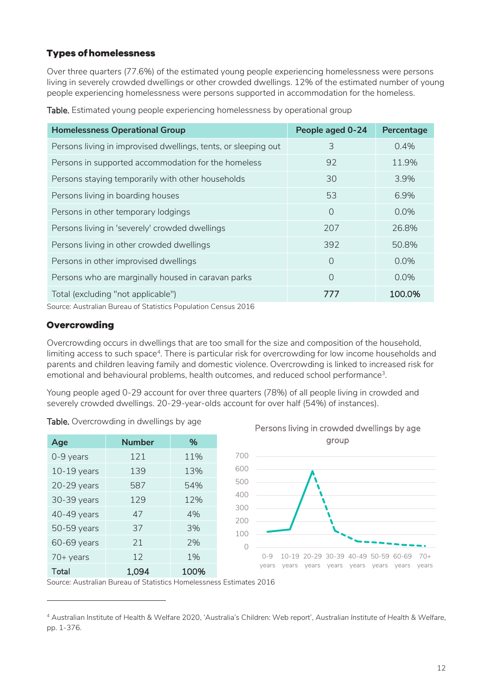### **Types of homelessness**

Over three quarters (77.6%) of the estimated young people experiencing homelessness were persons living in severely crowded dwellings or other crowded dwellings. 12% of the estimated number of young people experiencing homelessness were persons supported in accommodation for the homeless.

Table. Estimated young people experiencing homelessness by operational group

| <b>Homelessness Operational Group</b>                          | People aged 0-24 | Percentage |
|----------------------------------------------------------------|------------------|------------|
| Persons living in improvised dwellings, tents, or sleeping out | 3                | 0.4%       |
| Persons in supported accommodation for the homeless            | 92               | 11.9%      |
| Persons staying temporarily with other households              | 30               | 3.9%       |
| Persons living in boarding houses                              | 53               | 6.9%       |
| Persons in other temporary lodgings                            | $\bigcap$        | $0.0\%$    |
| Persons living in 'severely' crowded dwellings                 | 207              | 26.8%      |
| Persons living in other crowded dwellings                      | 392              | 50.8%      |
| Persons in other improvised dwellings                          | $\bigcap$        | $0.0\%$    |
| Persons who are marginally housed in caravan parks             | $\bigcap$        | $0.0\%$    |
| Total (excluding "not applicable")                             | 777              | 100.0%     |

Source: Australian Bureau of Statistics Population Census 2016

#### Overcrowding

-

Overcrowding occurs in dwellings that are too small for the size and composition of the household, limiting access to such space<sup>4</sup>. There is particular risk for overcrowding for low income households and parents and children leaving family and domestic violence. Overcrowding is linked to increased risk for emotional and behavioural problems, health outcomes, and reduced school performance<sup>3</sup>.

Young people aged 0-29 account for over three quarters (78%) of all people living in crowded and severely crowded dwellings. 20-29-year-olds account for over half (54%) of instances).

| Age           | <b>Number</b> | $\%$ |
|---------------|---------------|------|
| 0-9 years     | 121           | 11%  |
| $10-19$ years | 139           | 13%  |
| 20-29 years   | 587           | 54%  |
| 30-39 years   | 129           | 12%  |
| 40-49 years   | 47            | 4%   |
| 50-59 years   | 37            | 3%   |
| 60-69 years   | 21            | 2%   |
| $70+$ years   | 12            | 1%   |
| Total         | 1.094         | 100% |



Table. Overcrowding in dwellings by age

Source: Australian Bureau of Statistics Homelessness Estimates 2016

<sup>4</sup> Australian Institute of Health & Welfare 2020, 'Australia's Children: Web report', *Australian Institute of Health & Welfare*, pp. 1-376.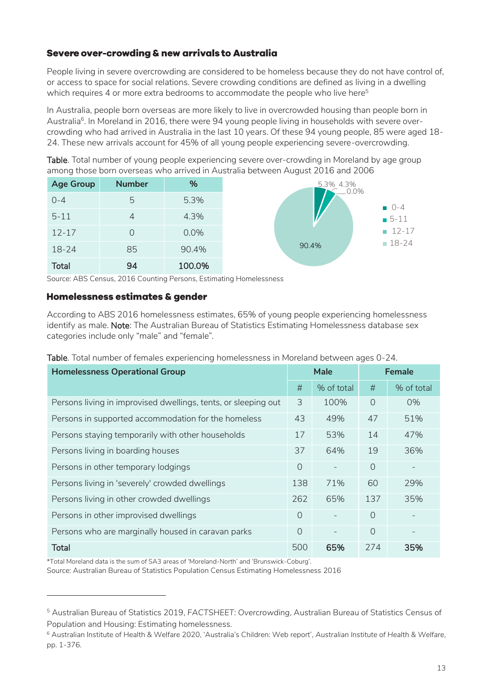### Severe over-crowding & new arrivals to Australia

People living in severe overcrowding are considered to be homeless because they do not have control of, or access to space for social relations. Severe crowding conditions are defined as living in a dwelling which requires 4 or more extra bedrooms to accommodate the people who live here<sup>5</sup>

In Australia, people born overseas are more likely to live in overcrowded housing than people born in Australia<sup>6</sup>. In Moreland in 2016, there were 94 young people living in households with severe overcrowding who had arrived in Australia in the last 10 years. Of these 94 young people, 85 were aged 18- 24. These new arrivals account for 45% of all young people experiencing severe-overcrowding.

Table. Total number of young people experiencing severe over-crowding in Moreland by age group among those born overseas who arrived in Australia between August 2016 and 2006



Source: ABS Census, 2016 Counting Persons, Estimating Homelessness

#### Homelessness estimates & gender

According to ABS 2016 homelessness estimates, 65% of young people experiencing homelessness identify as male. Note: The Australian Bureau of Statistics Estimating Homelessness database sex categories include only "male" and "female".

Table. Total number of females experiencing homelessness in Moreland between ages 0-24.

| <b>Homelessness Operational Group</b>                          |          | <b>Male</b>              |          | <b>Female</b>            |  |
|----------------------------------------------------------------|----------|--------------------------|----------|--------------------------|--|
|                                                                | #        | % of total               | #        | % of total               |  |
| Persons living in improvised dwellings, tents, or sleeping out | 3        | 100%                     | $\Omega$ | 0%                       |  |
| Persons in supported accommodation for the homeless            | 43       | 49%                      | 47       | 51%                      |  |
| Persons staying temporarily with other households              | 17       | 53%                      | 14       | 47%                      |  |
| Persons living in boarding houses                              | 37       | 64%                      | 19       | 36%                      |  |
| Persons in other temporary lodgings                            | $\Omega$ | $\overline{\phantom{a}}$ | $\Omega$ | $\overline{\phantom{a}}$ |  |
| Persons living in 'severely' crowded dwellings                 | 138      | 71%                      | 60       | 29%                      |  |
| Persons living in other crowded dwellings                      | 262      | 65%                      | 137      | 35%                      |  |
| Persons in other improvised dwellings                          | $\Omega$ |                          | $\Omega$ |                          |  |
| Persons who are marginally housed in caravan parks             | $\Omega$ |                          | $\Omega$ |                          |  |
| Total                                                          | 500      | 65%                      | 274      | 35%                      |  |

\*Total Moreland data is the sum of SA3 areas of 'Moreland-North' and 'Brunswick-Coburg'.

-

Source: Australian Bureau of Statistics Population Census Estimating Homelessness 2016

<sup>5</sup> Australian Bureau of Statistics 2019, *FACTSHEET: Overcrowding*, Australian Bureau of Statistics Census of Population and Housing: Estimating homelessness.

<sup>6</sup> Australian Institute of Health & Welfare 2020, 'Australia's Children: Web report', *Australian Institute of Health & Welfare*, pp. 1-376.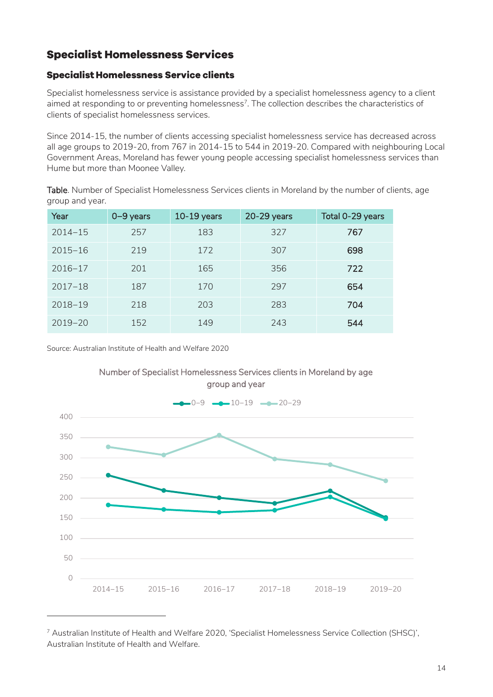### <span id="page-13-0"></span>**Specialist Homelessness Services**

### **Specialist Homelessness Service clients**

Specialist homelessness service is assistance provided by a specialist homelessness agency to a client aimed at responding to or preventing homelessness'. The collection describes the characteristics of clients of specialist homelessness services.

Since 2014-15, the number of clients accessing specialist homelessness service has decreased across all age groups to 2019-20, from 767 in 2014-15 to 544 in 2019-20. Compared with neighbouring Local Government Areas, Moreland has fewer young people accessing specialist homelessness services than Hume but more than Moonee Valley.

Table. Number of Specialist Homelessness Services clients in Moreland by the number of clients, age group and year.

| Year        | $0 - 9$ years | $10-19$ years | 20-29 years | Total 0-29 years |
|-------------|---------------|---------------|-------------|------------------|
| $2014 - 15$ | 257           | 183           | 327         | 767              |
| $2015 - 16$ | 219           | 172           | 307         | 698              |
| $2016 - 17$ | 201           | 165           | 356         | 722              |
| $2017 - 18$ | 187           | 170           | 297         | 654              |
| $2018 - 19$ | 218           | 203           | 283         | 704              |
| $2019 - 20$ | 152           | 149           | 243         | 544              |

Source: Australian Institute of Health and Welfare 2020

-



### Number of Specialist Homelessness Services clients in Moreland by age group and year

<sup>7</sup> Australian Institute of Health and Welfare 2020, 'Specialist Homelessness Service Collection (SHSC)', Australian Institute of Health and Welfare.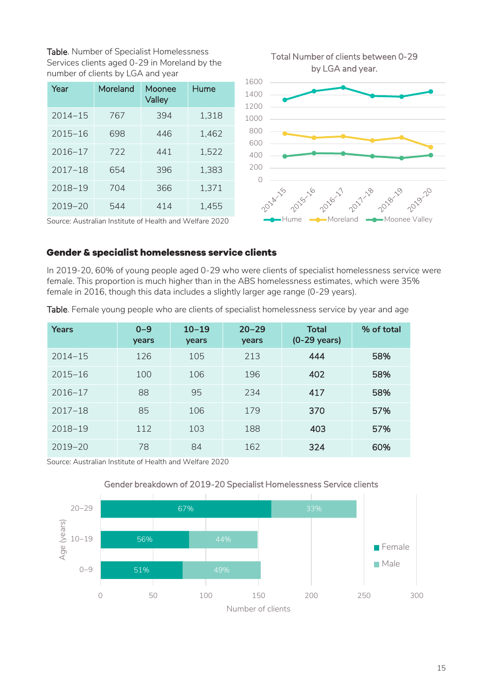Table. Number of Specialist Homelessness Services clients aged 0-29 in Moreland by the number of clients by LGA and year

| Year        | Moreland | Moonee<br><b>Valley</b> | Hume  |
|-------------|----------|-------------------------|-------|
| $2014 - 15$ | 767      | 394                     | 1,318 |
| $2015 - 16$ | 698      | 446                     | 1,462 |
| $2016 - 17$ | 722      | 441                     | 1,522 |
| $2017 - 18$ | 654      | 396                     | 1,383 |
| 2018-19     | 704      | 366                     | 1,371 |
| $2019 - 20$ | 544      | 414                     | 1.455 |

Source: Australian Institute of Health and Welfare 2020





### Gender & specialist homelessness service clients

In 2019-20, 60% of young people aged 0-29 who were clients of specialist homelessness service were female. This proportion is much higher than in the ABS homelessness estimates, which were 35% female in 2016, though this data includes a slightly larger age range (0-29 years).

| <b>Years</b> | $0 - 9$<br>years | $10 - 19$<br>years | $20 - 29$<br>years | <b>Total</b><br>$(0-29 \text{ years})$ | % of total |
|--------------|------------------|--------------------|--------------------|----------------------------------------|------------|
| $2014 - 15$  | 126              | 105                | 213                | 444                                    | 58%        |
| $2015 - 16$  | 100              | 106                | 196                | 402                                    | 58%        |
| $2016 - 17$  | 88               | 95                 | 234                | 417                                    | 58%        |
| $2017 - 18$  | 85               | 106                | 179                | 370                                    | 57%        |
| 2018-19      | 112              | 103                | 188                | 403                                    | 57%        |
| $2019 - 20$  | 78               | 84                 | 162                | 324                                    | 60%        |

Table. Female young people who are clients of specialist homelessness service by year and age

Source: Australian Institute of Health and Welfare 2020



#### Gender breakdown of 2019-20 Specialist Homelessness Service clients